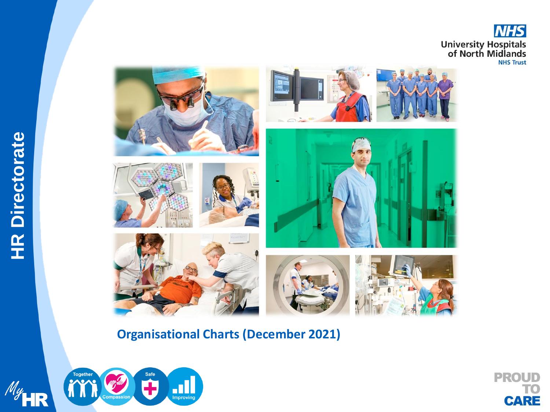





**Organisational Charts (December 2021)**



**PROUD** TO<br>CARE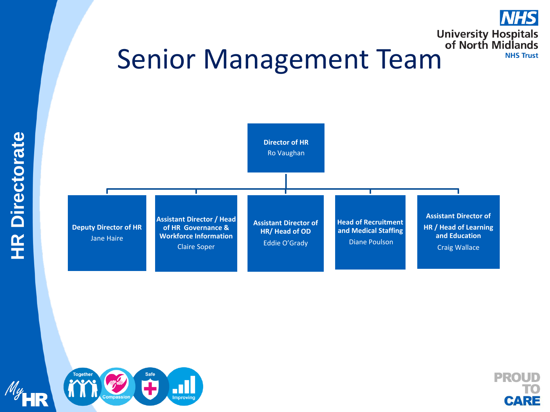# University Hospitals<br>of North Midlands<br>MHS Trust







**NHS** 

**NHS Trust**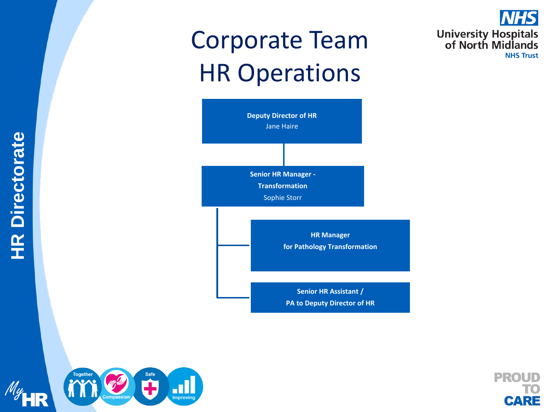## Corporate Team HR Operations







**NHS** 

**NHS Trust** 

**University Hospitals<br>of North Midlands**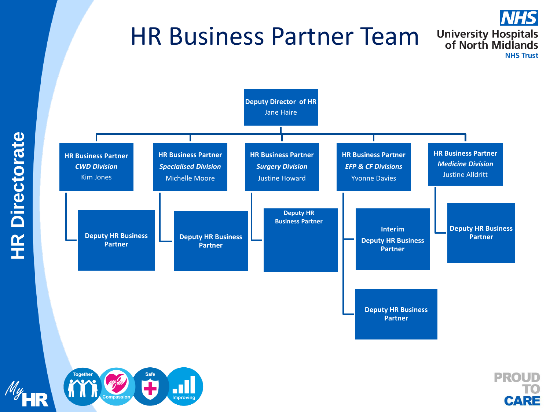### HR Business Partner Team







**NHS** 

**NHS Trust** 

**University Hospitals<br>of North Midlands**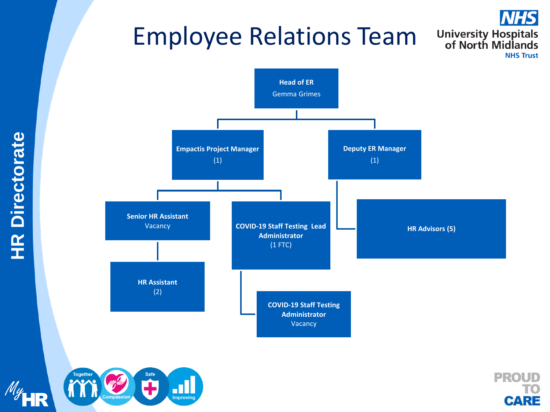## Employee Relations Team







**NHS** 

**University Hospitals<br>of North Midlands**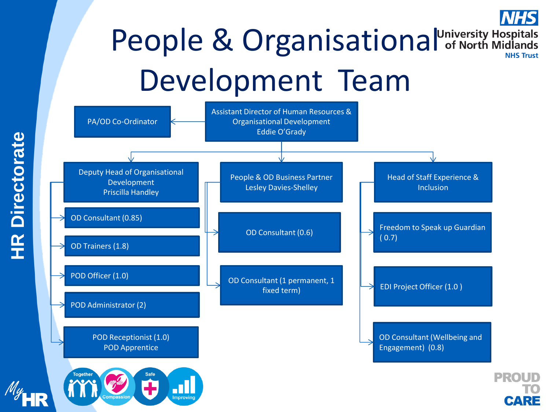## People & Organisational University Hospitals Development Team

**CARE** 

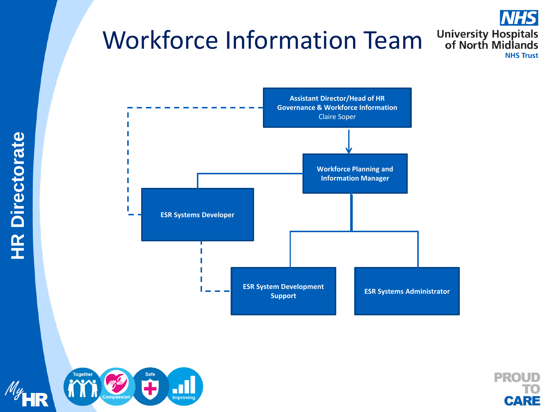## Workforce Information Team







**NHS** 

**NHS Trust** 

**University Hospitals<br>of North Midlands** 

**HR Directorate HR Directorate**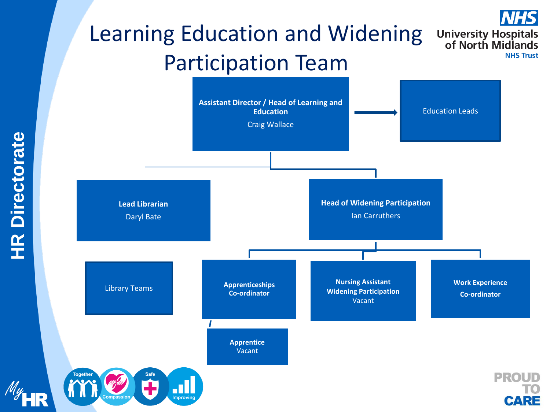### Learning Education and Widening **University Hospitals<br>of North Midlands** Participation Team

**NHSI** 

**NHS Trust**